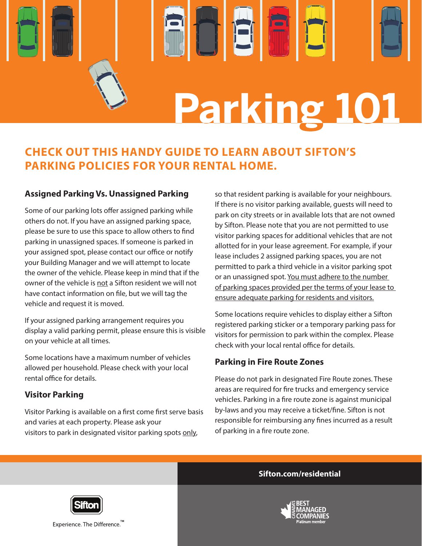

# **CHECK OUT THIS HANDY GUIDE TO LEARN ABOUT SIFTON'S PARKING POLICIES FOR YOUR RENTAL HOME.**

#### **Assigned Parking Vs. Unassigned Parking**

Some of our parking lots offer assigned parking while others do not. If you have an assigned parking space, please be sure to use this space to allow others to find parking in unassigned spaces. If someone is parked in your assigned spot, please contact our office or notify your Building Manager and we will attempt to locate the owner of the vehicle. Please keep in mind that if the owner of the vehicle is not a Sifton resident we will not have contact information on file, but we will tag the vehicle and request it is moved.

If your assigned parking arrangement requires you display a valid parking permit, please ensure this is visible on your vehicle at all times.

Some locations have a maximum number of vehicles allowed per household. Please check with your local rental office for details.

#### **Visitor Parking**

Visitor Parking is available on a first come first serve basis and varies at each property. Please ask your visitors to park in designated visitor parking spots only,

so that resident parking is available for your neighbours. If there is no visitor parking available, guests will need to park on city streets or in available lots that are not owned by Sifton. Please note that you are not permitted to use visitor parking spaces for additional vehicles that are not allotted for in your lease agreement. For example, if your lease includes 2 assigned parking spaces, you are not permitted to park a third vehicle in a visitor parking spot or an unassigned spot. You must adhere to the number of parking spaces provided per the terms of your lease to ensure adequate parking for residents and visitors.

Some locations require vehicles to display either a Sifton registered parking sticker or a temporary parking pass for visitors for permission to park within the complex. Please check with your local rental office for details.

#### **Parking in Fire Route Zones**

Please do not park in designated Fire Route zones. These areas are required for fire trucks and emergency service vehicles. Parking in a fire route zone is against municipal by-laws and you may receive a ticket/fine. Sifton is not responsible for reimbursing any fines incurred as a result of parking in a fire route zone.

#### **Sifton.com/residential**





Experience. The Difference.<sup>™</sup>